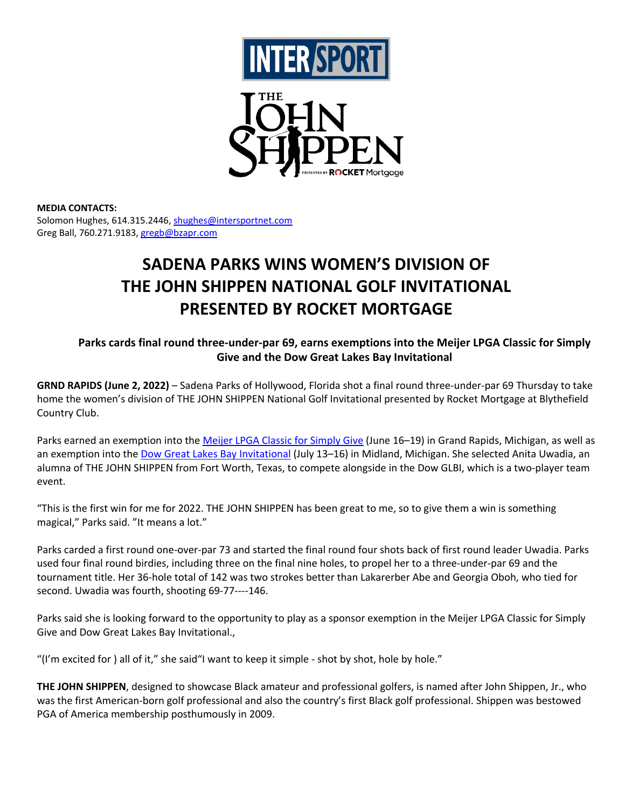



## **MEDIA CONTACTS:**

Solomon Hughes, 614.315.2446, shughes@intersportnet.com Greg Ball, 760.271.9183, gregb@bzapr.com

# **SADENA PARKS WINS WOMEN'S DIVISION OF THE JOHN SHIPPEN NATIONAL GOLF INVITATIONAL PRESENTED BY ROCKET MORTGAGE**

**Parks cards final round three-under-par 69, earns exemptions into the Meijer LPGA Classic for Simply Give and the Dow Great Lakes Bay Invitational**

**GRND RAPIDS (June 2, 2022)** – Sadena Parks of Hollywood, Florida shot a final round three-under-par 69 Thursday to take home the women's division of THE JOHN SHIPPEN National Golf Invitational presented by Rocket Mortgage at Blythefield Country Club.

Parks earned an exemption into the Meijer LPGA Classic for Simply Give (June 16–19) in Grand Rapids, Michigan, as well as an exemption into the Dow Great Lakes Bay Invitational (July 13-16) in Midland, Michigan. She selected Anita Uwadia, an alumna of THE JOHN SHIPPEN from Fort Worth, Texas, to compete alongside in the Dow GLBI, which is a two-player team event.

"This is the first win for me for 2022. THE JOHN SHIPPEN has been great to me, so to give them a win is something magical," Parks said. "It means a lot."

Parks carded a first round one-over-par 73 and started the final round four shots back of first round leader Uwadia. Parks used four final round birdies, including three on the final nine holes, to propel her to a three-under-par 69 and the tournament title. Her 36-hole total of 142 was two strokes better than Lakarerber Abe and Georgia Oboh, who tied for second. Uwadia was fourth, shooting 69-77----146.

Parks said she is looking forward to the opportunity to play as a sponsor exemption in the Meijer LPGA Classic for Simply Give and Dow Great Lakes Bay Invitational.,

"(I'm excited for ) all of it," she said"I want to keep it simple - shot by shot, hole by hole."

**THE JOHN SHIPPEN**, designed to showcase Black amateur and professional golfers, is named after John Shippen, Jr., who was the first American-born golf professional and also the country's first Black golf professional. Shippen was bestowed PGA of America membership posthumously in 2009.